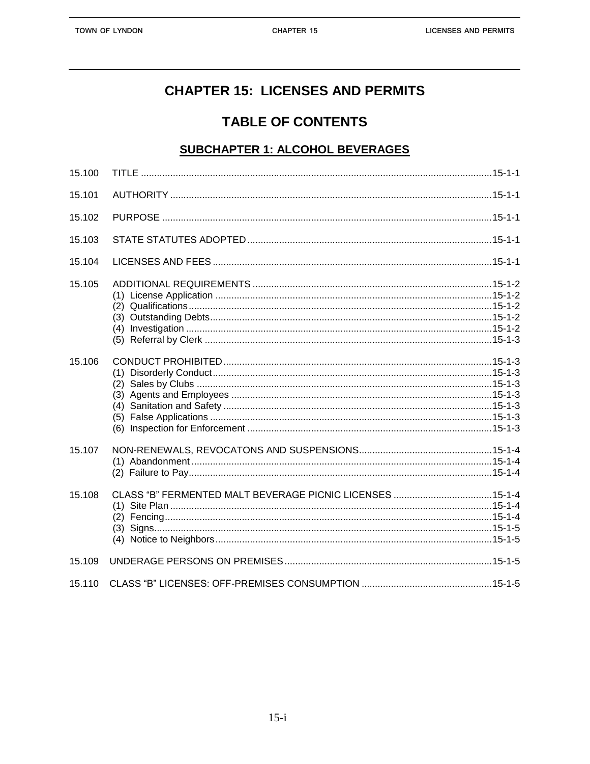## **CHAPTER 15: LICENSES AND PERMITS**

# **TABLE OF CONTENTS**

#### **SUBCHAPTER 1: ALCOHOL BEVERAGES**

| 15.100 |  |
|--------|--|
| 15.101 |  |
| 15.102 |  |
| 15.103 |  |
| 15.104 |  |
| 15.105 |  |
| 15.106 |  |
| 15.107 |  |
| 15.108 |  |
| 15.109 |  |
| 15.110 |  |